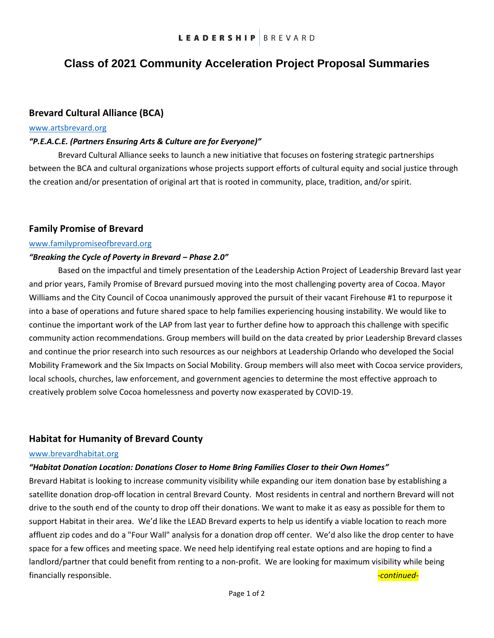# **Class of 2021 Community Acceleration Project Proposal Summaries**

## **Brevard Cultural Alliance (BCA)**

## [www.artsbrevard.org](http://www.artsbrevard.org/)

## *"P.E.A.C.E. (Partners Ensuring Arts & Culture are for Everyone)"*

Brevard Cultural Alliance seeks to launch a new initiative that focuses on fostering strategic partnerships between the BCA and cultural organizations whose projects support efforts of cultural equity and social justice through the creation and/or presentation of original art that is rooted in community, place, tradition, and/or spirit.

## **Family Promise of Brevard**

#### [www.familypromiseofbrevard.org](http://www.familypromiseofbrevard.org/)

#### *"Breaking the Cycle of Poverty in Brevard – Phase 2.0"*

Based on the impactful and timely presentation of the Leadership Action Project of Leadership Brevard last year and prior years, Family Promise of Brevard pursued moving into the most challenging poverty area of Cocoa. Mayor Williams and the City Council of Cocoa unanimously approved the pursuit of their vacant Firehouse #1 to repurpose it into a base of operations and future shared space to help families experiencing housing instability. We would like to continue the important work of the LAP from last year to further define how to approach this challenge with specific community action recommendations. Group members will build on the data created by prior Leadership Brevard classes and continue the prior research into such resources as our neighbors at Leadership Orlando who developed the Social Mobility Framework and the Six Impacts on Social Mobility. Group members will also meet with Cocoa service providers, local schools, churches, law enforcement, and government agencies to determine the most effective approach to creatively problem solve Cocoa homelessness and poverty now exasperated by COVID-19.

## **Habitat for Humanity of Brevard County**

#### [www.brevardhabitat.org](file://///SC30076431.SMARTCloud.Internal/Company/Leadership%20Brevard/2020/LAP/www.brevardhabitat.org)

#### *"Habitat Donation Location: Donations Closer to Home Bring Families Closer to their Own Homes"*

Brevard Habitat is looking to increase community visibility while expanding our item donation base by establishing a satellite donation drop-off location in central Brevard County. Most residents in central and northern Brevard will not drive to the south end of the county to drop off their donations. We want to make it as easy as possible for them to support Habitat in their area. We'd like the LEAD Brevard experts to help us identify a viable location to reach more affluent zip codes and do a "Four Wall" analysis for a donation drop off center. We'd also like the drop center to have space for a few offices and meeting space. We need help identifying real estate options and are hoping to find a landlord/partner that could benefit from renting to a non-profit. We are looking for maximum visibility while being financially responsible. *-continued-*